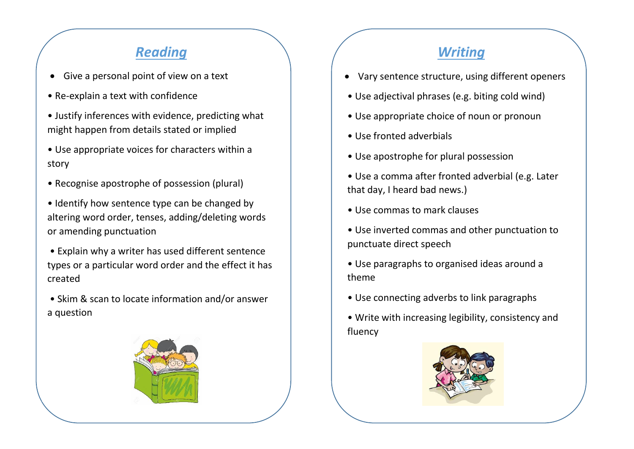## *Reading Writing*

- Give a personal point of view on a text
- Re-explain a text with confidence
- Justify inferences with evidence, predicting what might happen from details stated or implied
- Use appropriate voices for characters within a story
- Recognise apostrophe of possession (plural)
- Identify how sentence type can be changed by altering word order, tenses, adding/deleting words or amending punctuation
- Explain why a writer has used different sentence types or a particular word order and the effect it has created
- Skim & scan to locate information and/or answer a question



- Vary sentence structure, using different openers
- Use adjectival phrases (e.g. biting cold wind)
- Use appropriate choice of noun or pronoun
- Use fronted adverbials
- Use apostrophe for plural possession
- Use a comma after fronted adverbial (e.g. Later that day, I heard bad news.)
- Use commas to mark clauses
- Use inverted commas and other punctuation to punctuate direct speech
- Use paragraphs to organised ideas around a theme
- Use connecting adverbs to link paragraphs
- Write with increasing legibility, consistency and fluency